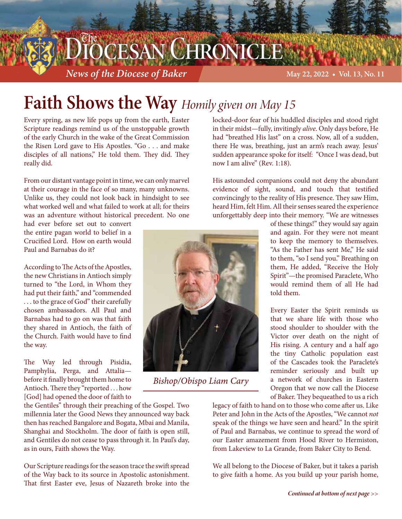## DCESAN CHRONICLE

*News of the Diocese of Baker* **<b>May 22, 2022 • Vol. 13, No. 11** May 22, 2022 • Vol. 13, No. 11

## **Faith Shows the Way** *Homily given on May 15*

Every spring, as new life pops up from the earth, Easter Scripture readings remind us of the unstoppable growth of the early Church in the wake of the Great Commission the Risen Lord gave to His Apostles. "Go . . . and make disciples of all nations," He told them. They did. They really did.

From our distant vantage point in time, we can only marvel at their courage in the face of so many, many unknowns. Unlike us, they could not look back in hindsight to see what worked well and what failed to work at all; for theirs was an adventure without historical precedent. No one

had ever before set out to convert the entire pagan world to belief in a Crucified Lord. How on earth would Paul and Barnabas do it?

According to The Acts of the Apostles, the new Christians in Antioch simply turned to "the Lord, in Whom they had put their faith," and "commended . . . to the grace of God" their carefully chosen ambassadors. All Paul and Barnabas had to go on was that faith they shared in Antioch, the faith of the Church. Faith would have to find the way.

The Way led through Pisidia, Pamphylia, Perga, and Attalia before it finally brought them home to Antioch. There they "reported . . . how [God] had opened the door of faith to

the Gentiles" through their preaching of the Gospel. Two millennia later the Good News they announced way back then has reached Bangalore and Bogata, Mbai and Manila, Shanghai and Stockholm. The door of faith is open still, and Gentiles do not cease to pass through it. In Paul's day, as in ours, Faith shows the Way.

Our Scripture readings for the season trace the swift spread of the Way back to its source in Apostolic astonishment. That first Easter eve, Jesus of Nazareth broke into the



*Bishop/Obispo Liam Cary*

locked-door fear of his huddled disciples and stood right in their midst—fully, invitingly *alive*. Only days before, He had "breathed His last" on a cross. Now, all of a sudden, there He was, breathing, just an arm's reach away. Jesus' sudden appearance spoke for itself: "Once I was dead, but now I am alive" (Rev. 1:18).

His astounded companions could not deny the abundant evidence of sight, sound, and touch that testified convincingly to the reality of His presence. They saw Him, heard Him, felt Him. All their senses seared the experience unforgettably deep into their memory. "We are witnesses

> of these things!" they would say again and again. For they were not meant to keep the memory to themselves. "As the Father has sent Me," He said to them, "so I send you." Breathing on them, He added, "Receive the Holy Spirit"—the promised Paraclete, Who would remind them of all He had told them.

> Every Easter the Spirit reminds us that we share life with those who stood shoulder to shoulder with the Victor over death on the night of His rising. A century and a half ago the tiny Catholic population east of the Cascades took the Paraclete's reminder seriously and built up a network of churches in Eastern Oregon that we now call the Diocese of Baker. They bequeathed to us a rich

legacy of faith to hand on to those who come after us. Like Peter and John in the Acts of the Apostles, "We cannot *not* speak of the things we have seen and heard." In the spirit of Paul and Barnabas, we continue to spread the word of our Easter amazement from Hood River to Hermiston, from Lakeview to La Grande, from Baker City to Bend.

We all belong to the Diocese of Baker, but it takes a parish to give faith a home. As you build up your parish home,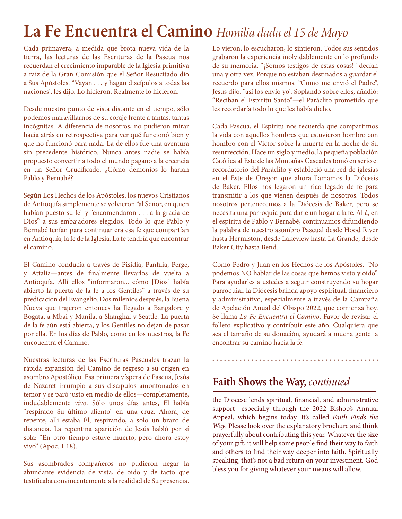### **La Fe Encuentra el Camino** *Homilía dada el 15 de Mayo*

Cada primavera, a medida que brota nueva vida de la tierra, las lecturas de las Escrituras de la Pascua nos recuerdan el crecimiento imparable de la Iglesia primitiva a raíz de la Gran Comisión que el Señor Resucitado dio a Sus Apóstoles. "Vayan . . . y hagan discípulos a todas las naciones", les dijo. Lo hicieron. Realmente lo hicieron.

Desde nuestro punto de vista distante en el tiempo, sólo podemos maravillarnos de su coraje frente a tantas, tantas incógnitas. A diferencia de nosotros, no pudieron mirar hacia atrás en retrospectiva para ver qué funcionó bien y qué no funcionó para nada. La de ellos fue una aventura sin precedente histórico. Nunca antes nadie se había propuesto convertir a todo el mundo pagano a la creencia en un Señor Crucificado. ¿Cómo demonios lo harían Pablo y Bernabé?

Según Los Hechos de los Apóstoles, los nuevos Cristianos de Antioquía simplemente se volvieron "al Señor, en quien habían puesto su fe" y "encomendaron . . . a la gracia de Dios" a sus embajadores elegidos. Todo lo que Pablo y Bernabé tenían para continuar era esa fe que compartían en Antioquía, la fe de la Iglesia. La fe tendría que encontrar el camino.

El Camino conducía a través de Pisidia, Panfilia, Perge, y Attalia—antes de finalmente llevarlos de vuelta a Antioquía. Allí ellos "informaron... cómo [Dios] había abierto la puerta de la fe a los Gentiles" a través de su predicación del Evangelio. Dos milenios después, la Buena Nueva que trajeron entonces ha llegado a Bangalore y Bogata, a Mbai y Manila, a Shanghai y Seattle. La puerta de la fe aún está abierta, y los Gentiles no dejan de pasar por ella. En los días de Pablo, como en los nuestros, la Fe encouentra el Camino.

Nuestras lecturas de las Escrituras Pascuales trazan la rápida expansión del Camino de regreso a su origen en asombro Apostólico. Esa primera víspera de Pascua, Jesús de Nazaret irrumpió a sus discípulos amontonados en temor y se paró justo en medio de ellos—completamente, indudablemente *vivo*. Sólo unos días antes, Él había "respirado Su último aliento" en una cruz. Ahora, de repente, allí estaba Él, respirando, a solo un brazo de distancia. La repentina aparición de Jesús habló por sí sola: "En otro tiempo estuve muerto, pero ahora estoy vivo" (Apoc. 1:18).

Sus asombrados compañeros no pudieron negar la abundante evidencia de vista, de oído y de tacto que testificaba convincentemente a la realidad de Su presencia.

Lo vieron, lo escucharon, lo sintieron. Todos sus sentidos grabaron la experiencia inolvidablemente en lo profundo de su memoria. "¡Somos testigos de estas cosas!" decían una y otra vez. Porque no estaban destinados a guardar el recuerdo para ellos mismos. "Como me envió el Padre", Jesus dijo, "así los envío yo". Soplando sobre ellos, añadió: "Reciban el Espíritu Santo"—el Paráclito prometido que les recordaría todo lo que les había dicho.

Cada Pascua, el Espíritu nos recuerda que compartimos la vida con aquellos hombres que estuvieron hombro con hombro con el Victor sobre la muerte en la noche de Su resurrección. Hace un siglo y medio, la pequeña población Católica al Este de las Montañas Cascades tomó en serio el recordatorio del Paráclito y estableció una red de iglesias en el Este de Oregon que ahora llamamos la Diócesis de Baker. Ellos nos legaron un rico legado de fe para transmitir a los que vienen después de nosotros. Todos nosotros pertenecemos a la Diócesis de Baker, pero se necesita una parroquia para darle un hogar a la fe. Allá, en el espíritu de Pablo y Bernabé, continuamos difundiendo la palabra de nuestro asombro Pascual desde Hood River hasta Hermiston, desde Lakeview hasta La Grande, desde Baker City hasta Bend.

Como Pedro y Juan en los Hechos de los Apóstoles. "No podemos NO hablar de las cosas que hemos visto y oído". Para ayudarles a ustedes a seguir construyendo su hogar parroquial, la Diócesis brinda apoyo espiritual, financiero y administrativo, especialmente a través de la Campaña de Apelación Anual del Obispo 2022, que comienza hoy. Se llama *La Fe Encuentra el Camino*. Favor de revisar el folleto explicativo y contribuir este año. Cualquiera que sea el tamaño de su donación, ayudará a mucha gente a encontrar su camino hacia la fe.

#### **Faith Shows the Way,** *continued*

the Diocese lends spiritual, financial, and administrative support—especially through the 2022 Bishop's Annual Appeal, which begins today. It's called *Faith Finds the Way*. Please look over the explanatory brochure and think prayerfully about contributing this year. Whatever the size of your gift, it will help some people find their way to faith and others to find their way deeper into faith. Spiritually speaking, that's not a bad return on your investment. God bless you for giving whatever your means will allow.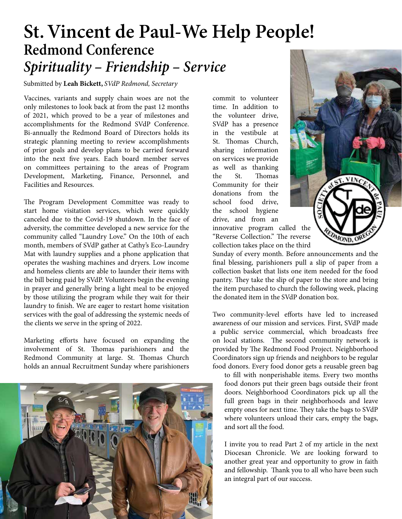#### **St. Vincent de Paul-We Help People! Redmond Conference** *Spirituality – Friendship – Service*

Submitted by **Leah Bickett,** *SVdP Redmond, Secretary*

Vaccines, variants and supply chain woes are not the only milestones to look back at from the past 12 months of 2021, which proved to be a year of milestones and accomplishments for the Redmond SVdP Conference. Bi-annually the Redmond Board of Directors holds its strategic planning meeting to review accomplishments of prior goals and develop plans to be carried forward into the next five years. Each board member serves on committees pertaining to the areas of Program Development, Marketing, Finance, Personnel, and Facilities and Resources.

The Program Development Committee was ready to start home visitation services, which were quickly canceled due to the Covid-19 shutdown. In the face of adversity, the committee developed a new service for the community called "Laundry Love." On the 10th of each month, members of SVdP gather at Cathy's Eco-Laundry Mat with laundry supplies and a phone application that operates the washing machines and dryers. Low income and homeless clients are able to launder their items with the bill being paid by SVdP. Volunteers begin the evening in prayer and generally bring a light meal to be enjoyed by those utilizing the program while they wait for their laundry to finish. We are eager to restart home visitation services with the goal of addressing the systemic needs of the clients we serve in the spring of 2022.

Marketing efforts have focused on expanding the involvement of St. Thomas parishioners and the Redmond Community at large. St. Thomas Church holds an annual Recruitment Sunday where parishioners



commit to volunteer time. In addition to the volunteer drive, SVdP has a presence in the vestibule at St. Thomas Church, sharing information on services we provide as well as thanking the St. Thomas Community for their donations from the school food drive, the school hygiene drive, and from an innovative program called the



"Reverse Collection." The reverse collection takes place on the third Sunday of every month. Before announcements and the

final blessing, parishioners pull a slip of paper from a collection basket that lists one item needed for the food pantry. They take the slip of paper to the store and bring the item purchased to church the following week, placing the donated item in the SVdP donation box.

Two community-level efforts have led to increased awareness of our mission and services. First, SVdP made a public service commercial, which broadcasts free on local stations. The second community network is provided by The Redmond Food Project. Neighborhood Coordinators sign up friends and neighbors to be regular food donors. Every food donor gets a reusable green bag

to fill with nonperishable items. Every two months food donors put their green bags outside their front doors. Neighborhood Coordinators pick up all the full green bags in their neighborhoods and leave empty ones for next time. They take the bags to SVdP where volunteers unload their cars, empty the bags, and sort all the food.

I invite you to read Part 2 of my article in the next Diocesan Chronicle. We are looking forward to another great year and opportunity to grow in faith and fellowship. Thank you to all who have been such an integral part of our success.